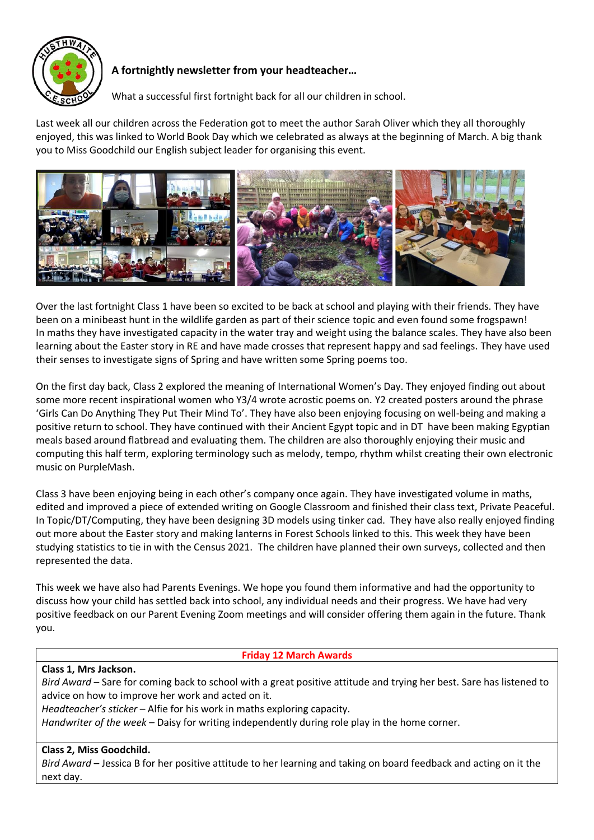

# **A fortnightly newsletter from your headteacher…**

What a successful first fortnight back for all our children in school.

Last week all our children across the Federation got to meet the author Sarah Oliver which they all thoroughly enjoyed, this was linked to World Book Day which we celebrated as always at the beginning of March. A big thank you to Miss Goodchild our English subject leader for organising this event.



Over the last fortnight Class 1 have been so excited to be back at school and playing with their friends. They have been on a minibeast hunt in the wildlife garden as part of their science topic and even found some frogspawn! In maths they have investigated capacity in the water tray and weight using the balance scales. They have also been learning about the Easter story in RE and have made crosses that represent happy and sad feelings. They have used their senses to investigate signs of Spring and have written some Spring poems too.

On the first day back, Class 2 explored the meaning of International Women's Day. They enjoyed finding out about some more recent inspirational women who Y3/4 wrote acrostic poems on. Y2 created posters around the phrase 'Girls Can Do Anything They Put Their Mind To'. They have also been enjoying focusing on well-being and making a positive return to school. They have continued with their Ancient Egypt topic and in DT have been making Egyptian meals based around flatbread and evaluating them. The children are also thoroughly enjoying their music and computing this half term, exploring terminology such as melody, tempo, rhythm whilst creating their own electronic music on PurpleMash.

Class 3 have been enjoying being in each other's company once again. They have investigated volume in maths, edited and improved a piece of extended writing on Google Classroom and finished their class text, Private Peaceful. In Topic/DT/Computing, they have been designing 3D models using tinker cad. They have also really enjoyed finding out more about the Easter story and making lanterns in Forest Schools linked to this. This week they have been studying statistics to tie in with the Census 2021. The children have planned their own surveys, collected and then represented the data.

This week we have also had Parents Evenings. We hope you found them informative and had the opportunity to discuss how your child has settled back into school, any individual needs and their progress. We have had very positive feedback on our Parent Evening Zoom meetings and will consider offering them again in the future. Thank you.

## **Friday 12 March Awards**

## **Class 1, Mrs Jackson.**

*Bird Award* – Sare for coming back to school with a great positive attitude and trying her best. Sare has listened to advice on how to improve her work and acted on it.

*Headteacher's sticker* – Alfie for his work in maths exploring capacity.

*Handwriter of the week* – Daisy for writing independently during role play in the home corner.

## **Class 2, Miss Goodchild.**

*Bird Award* – Jessica B for her positive attitude to her learning and taking on board feedback and acting on it the next day.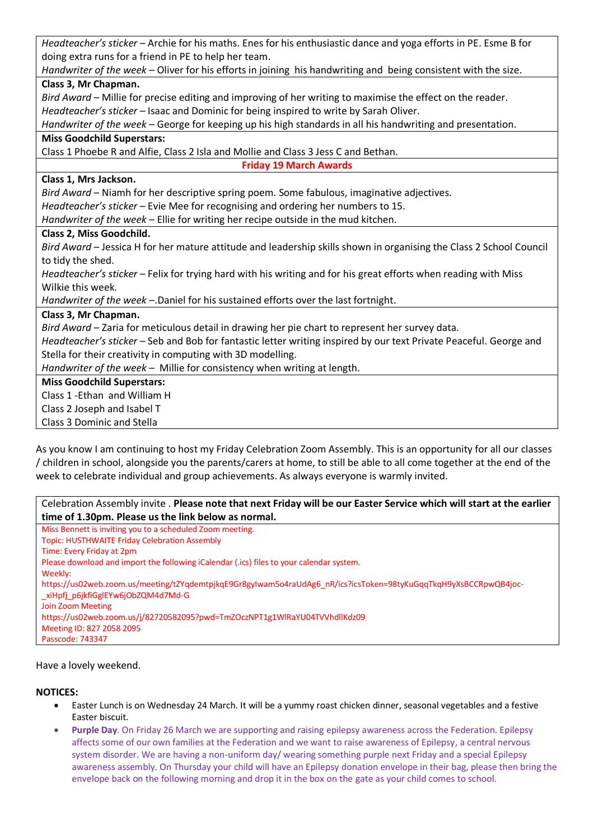*Headteacher's sticker* – Archie for his maths. Enes for his enthusiastic dance and yoga efforts in PE. Esme B for doing extra runs for a friend in PE to help her team.

*Handwriter of the week* – Oliver for his efforts in joining his handwriting and being consistent with the size. **Class 3, Mr Chapman.**

*Bird Award* – Millie for precise editing and improving of her writing to maximise the effect on the reader. *Headteacher's sticker* – Isaac and Dominic for being inspired to write by Sarah Oliver.

*Handwriter of the week* – George for keeping up his high standards in all his handwriting and presentation.

#### **Miss Goodchild Superstars:**

Class 1 Phoebe R and Alfie, Class 2 Isla and Mollie and Class 3 Jess C and Bethan.

**Friday 19 March Awards**

#### **Class 1, Mrs Jackson.**

*Bird Award* – Niamh for her descriptive spring poem. Some fabulous, imaginative adjectives. *Headteacher's sticker* – Evie Mee for recognising and ordering her numbers to 15.

*Handwriter of the week* – Ellie for writing her recipe outside in the mud kitchen.

### **Class 2, Miss Goodchild.**

*Bird Award* – Jessica H for her mature attitude and leadership skills shown in organising the Class 2 School Council to tidy the shed.

*Headteacher's sticker* – Felix for trying hard with his writing and for his great efforts when reading with Miss Wilkie this week.

*Handwriter of the week* –.Daniel for his sustained efforts over the last fortnight.

### **Class 3, Mr Chapman.**

*Bird Award* – Zaria for meticulous detail in drawing her pie chart to represent her survey data.

*Headteacher's sticker* – Seb and Bob for fantastic letter writing inspired by our text Private Peaceful. George and Stella for their creativity in computing with 3D modelling.

*Handwriter of the week* – Millie for consistency when writing at length.

### **Miss Goodchild Superstars:**

Class 1 -Ethan and William H

Class 2 Joseph and Isabel T

Class 3 Dominic and Stella

As you know I am continuing to host my Friday Celebration Zoom Assembly. This is an opportunity for all our classes / children in school, alongside you the parents/carers at home, to still be able to all come together at the end of the week to celebrate individual and group achievements. As always everyone is warmly invited.

Celebration Assembly invite . **Please note that next Friday will be our Easter Service which will start at the earlier time of 1.30pm. Please us the link below as normal.**

Miss Bennett is inviting you to a scheduled Zoom meeting. Topic: HUSTHWAITE Friday Celebration Assembly Time: Every Friday at 2pm Please download and import the following iCalendar (.ics) files to your calendar system. Weekly: https://us02web.zoom.us/meeting/tZYqdemtpjkqE9Gr8gyIwam5o4raUdAg6\_nR/ics?icsToken=98tyKuGqqTkqH9yXsBCCRpwQB4joc- \_xiHpfj\_p6jkfiGglEYw6jObZQM4d7Md-G Join Zoom Meeting https://us02web.zoom.us/j/82720582095?pwd=TmZOczNPT1g1WlRaYU04TVVhdllKdz09 Meeting ID: 827 2058 2095 Passcode: 743347

Have a lovely weekend.

### **NOTICES:**

- Easter Lunch is on Wednesday 24 March. It will be a yummy roast chicken dinner, seasonal vegetables and a festive Easter biscuit.
- **Purple Day**. On Friday 26 March we are supporting and raising epilepsy awareness across the Federation. Epilepsy affects some of our own families at the Federation and we want to raise awareness of Epilepsy, a central nervous system disorder. We are having a non-uniform day/ wearing something purple next Friday and a special Epilepsy awareness assembly. On Thursday your child will have an Epilepsy donation envelope in their bag, please then bring the envelope back on the following morning and drop it in the box on the gate as your child comes to school.